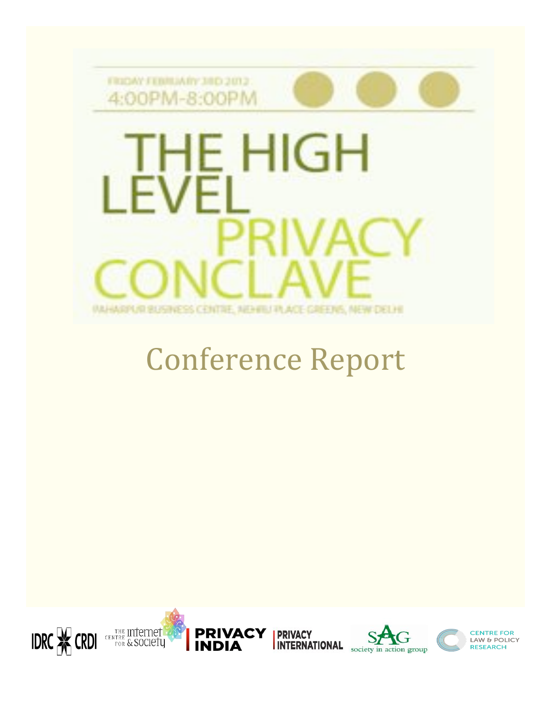

# **Conference Report**

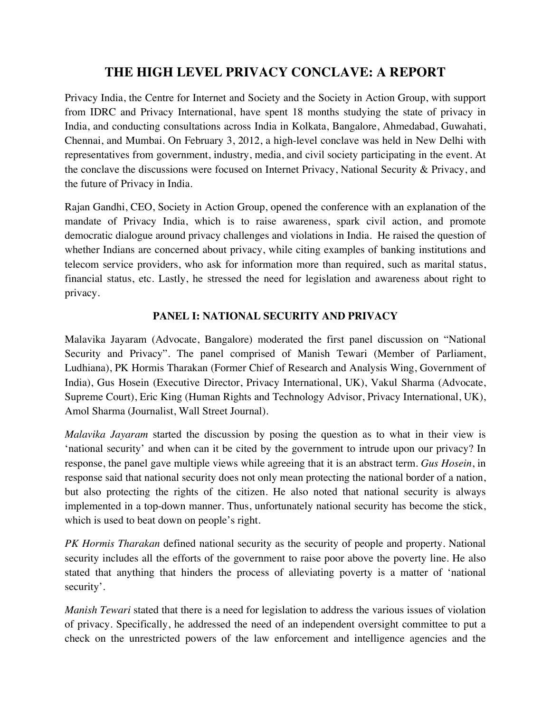# **THE HIGH LEVEL PRIVACY CONCLAVE: A REPORT**

Privacy India, the Centre for Internet and Society and the Society in Action Group, with support from IDRC and Privacy International, have spent 18 months studying the state of privacy in India, and conducting consultations across India in Kolkata, Bangalore, Ahmedabad, Guwahati, Chennai, and Mumbai. On February 3, 2012, a high-level conclave was held in New Delhi with representatives from government, industry, media, and civil society participating in the event. At the conclave the discussions were focused on Internet Privacy, National Security & Privacy, and the future of Privacy in India.

Rajan Gandhi, CEO, Society in Action Group, opened the conference with an explanation of the mandate of Privacy India, which is to raise awareness, spark civil action, and promote democratic dialogue around privacy challenges and violations in India. He raised the question of whether Indians are concerned about privacy, while citing examples of banking institutions and telecom service providers, who ask for information more than required, such as marital status, financial status, etc. Lastly, he stressed the need for legislation and awareness about right to privacy.

# **PANEL I: NATIONAL SECURITY AND PRIVACY**

Malavika Jayaram (Advocate, Bangalore) moderated the first panel discussion on "National Security and Privacy". The panel comprised of Manish Tewari (Member of Parliament, Ludhiana), PK Hormis Tharakan (Former Chief of Research and Analysis Wing, Government of India), Gus Hosein (Executive Director, Privacy International, UK), Vakul Sharma (Advocate, Supreme Court), Eric King (Human Rights and Technology Advisor, Privacy International, UK), Amol Sharma (Journalist, Wall Street Journal).

*Malavika Jayaram* started the discussion by posing the question as to what in their view is 'national security' and when can it be cited by the government to intrude upon our privacy? In response, the panel gave multiple views while agreeing that it is an abstract term. *Gus Hosein*, in response said that national security does not only mean protecting the national border of a nation, but also protecting the rights of the citizen. He also noted that national security is always implemented in a top-down manner. Thus, unfortunately national security has become the stick, which is used to beat down on people's right.

*PK Hormis Tharakan* defined national security as the security of people and property. National security includes all the efforts of the government to raise poor above the poverty line. He also stated that anything that hinders the process of alleviating poverty is a matter of 'national security'.

*Manish Tewari* stated that there is a need for legislation to address the various issues of violation of privacy. Specifically, he addressed the need of an independent oversight committee to put a check on the unrestricted powers of the law enforcement and intelligence agencies and the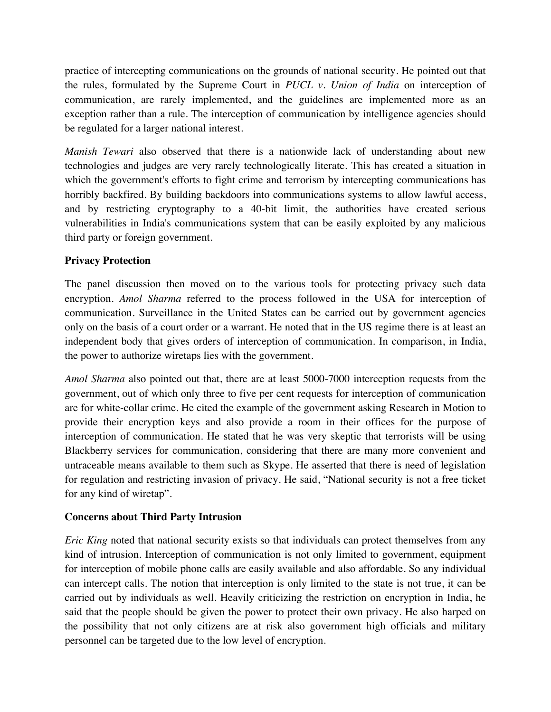practice of intercepting communications on the grounds of national security. He pointed out that the rules, formulated by the Supreme Court in *PUCL v. Union of India* on interception of communication, are rarely implemented, and the guidelines are implemented more as an exception rather than a rule. The interception of communication by intelligence agencies should be regulated for a larger national interest.

*Manish Tewari* also observed that there is a nationwide lack of understanding about new technologies and judges are very rarely technologically literate. This has created a situation in which the government's efforts to fight crime and terrorism by intercepting communications has horribly backfired. By building backdoors into communications systems to allow lawful access, and by restricting cryptography to a 40-bit limit, the authorities have created serious vulnerabilities in India's communications system that can be easily exploited by any malicious third party or foreign government.

# **Privacy Protection**

The panel discussion then moved on to the various tools for protecting privacy such data encryption. *Amol Sharma* referred to the process followed in the USA for interception of communication. Surveillance in the United States can be carried out by government agencies only on the basis of a court order or a warrant. He noted that in the US regime there is at least an independent body that gives orders of interception of communication. In comparison, in India, the power to authorize wiretaps lies with the government.

*Amol Sharma* also pointed out that, there are at least 5000-7000 interception requests from the government, out of which only three to five per cent requests for interception of communication are for white-collar crime. He cited the example of the government asking Research in Motion to provide their encryption keys and also provide a room in their offices for the purpose of interception of communication. He stated that he was very skeptic that terrorists will be using Blackberry services for communication, considering that there are many more convenient and untraceable means available to them such as Skype. He asserted that there is need of legislation for regulation and restricting invasion of privacy. He said, "National security is not a free ticket for any kind of wiretap".

# **Concerns about Third Party Intrusion**

*Eric King* noted that national security exists so that individuals can protect themselves from any kind of intrusion. Interception of communication is not only limited to government, equipment for interception of mobile phone calls are easily available and also affordable. So any individual can intercept calls. The notion that interception is only limited to the state is not true, it can be carried out by individuals as well. Heavily criticizing the restriction on encryption in India, he said that the people should be given the power to protect their own privacy. He also harped on the possibility that not only citizens are at risk also government high officials and military personnel can be targeted due to the low level of encryption.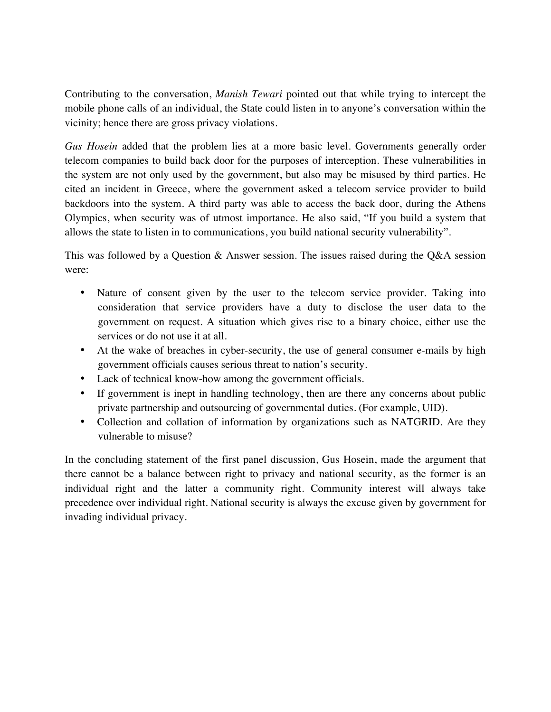Contributing to the conversation, *Manish Tewari* pointed out that while trying to intercept the mobile phone calls of an individual, the State could listen in to anyone's conversation within the vicinity; hence there are gross privacy violations.

*Gus Hosein* added that the problem lies at a more basic level. Governments generally order telecom companies to build back door for the purposes of interception. These vulnerabilities in the system are not only used by the government, but also may be misused by third parties. He cited an incident in Greece, where the government asked a telecom service provider to build backdoors into the system. A third party was able to access the back door, during the Athens Olympics, when security was of utmost importance. He also said, "If you build a system that allows the state to listen in to communications, you build national security vulnerability".

This was followed by a Question & Answer session. The issues raised during the Q&A session were:

- Nature of consent given by the user to the telecom service provider. Taking into consideration that service providers have a duty to disclose the user data to the government on request. A situation which gives rise to a binary choice, either use the services or do not use it at all.
- At the wake of breaches in cyber-security, the use of general consumer e-mails by high government officials causes serious threat to nation's security.
- Lack of technical know-how among the government officials.
- If government is inept in handling technology, then are there any concerns about public private partnership and outsourcing of governmental duties. (For example, UID).
- Collection and collation of information by organizations such as NATGRID. Are they vulnerable to misuse?

In the concluding statement of the first panel discussion, Gus Hosein, made the argument that there cannot be a balance between right to privacy and national security, as the former is an individual right and the latter a community right. Community interest will always take precedence over individual right. National security is always the excuse given by government for invading individual privacy.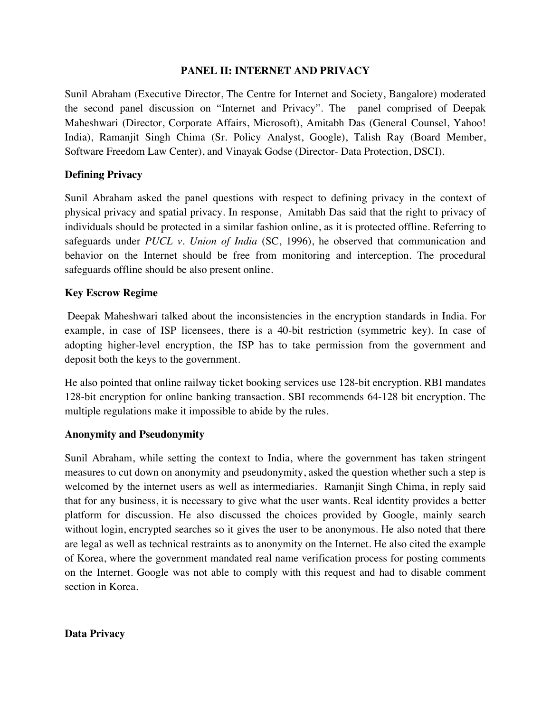#### **PANEL II: INTERNET AND PRIVACY**

Sunil Abraham (Executive Director, The Centre for Internet and Society, Bangalore) moderated the second panel discussion on "Internet and Privacy". The panel comprised of Deepak Maheshwari (Director, Corporate Affairs, Microsoft), Amitabh Das (General Counsel, Yahoo! India), Ramanjit Singh Chima (Sr. Policy Analyst, Google), Talish Ray (Board Member, Software Freedom Law Center), and Vinayak Godse (Director- Data Protection, DSCI).

#### **Defining Privacy**

Sunil Abraham asked the panel questions with respect to defining privacy in the context of physical privacy and spatial privacy. In response, Amitabh Das said that the right to privacy of individuals should be protected in a similar fashion online, as it is protected offline. Referring to safeguards under *PUCL v. Union of India* (SC, 1996), he observed that communication and behavior on the Internet should be free from monitoring and interception. The procedural safeguards offline should be also present online.

#### **Key Escrow Regime**

 Deepak Maheshwari talked about the inconsistencies in the encryption standards in India. For example, in case of ISP licensees, there is a 40-bit restriction (symmetric key). In case of adopting higher-level encryption, the ISP has to take permission from the government and deposit both the keys to the government.

He also pointed that online railway ticket booking services use 128-bit encryption. RBI mandates 128-bit encryption for online banking transaction. SBI recommends 64-128 bit encryption. The multiple regulations make it impossible to abide by the rules.

#### **Anonymity and Pseudonymity**

Sunil Abraham, while setting the context to India, where the government has taken stringent measures to cut down on anonymity and pseudonymity, asked the question whether such a step is welcomed by the internet users as well as intermediaries. Ramanjit Singh Chima, in reply said that for any business, it is necessary to give what the user wants. Real identity provides a better platform for discussion. He also discussed the choices provided by Google, mainly search without login, encrypted searches so it gives the user to be anonymous. He also noted that there are legal as well as technical restraints as to anonymity on the Internet. He also cited the example of Korea, where the government mandated real name verification process for posting comments on the Internet. Google was not able to comply with this request and had to disable comment section in Korea.

### **Data Privacy**